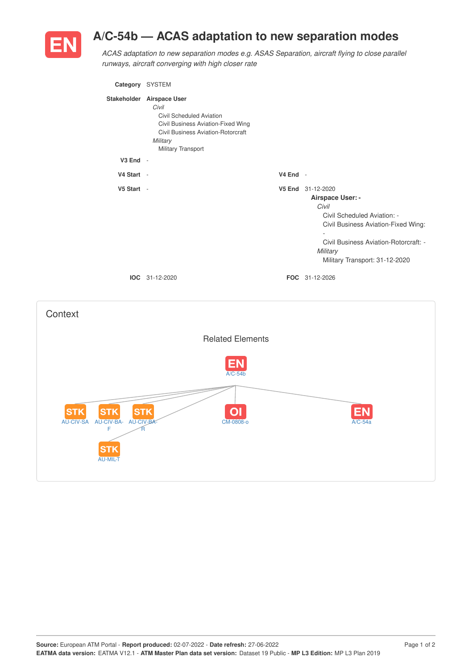

## **A/C-54b — ACAS adaptation to new separation modes**

*ACAS adaptation to new separation modes e.g. ASAS Separation, aircraft flying to close parallel runways, aircraft converging with high closer rate*

| Category SYSTEM |                                                                                                                                                                                     |                    |                                                                                                                                                                                                      |
|-----------------|-------------------------------------------------------------------------------------------------------------------------------------------------------------------------------------|--------------------|------------------------------------------------------------------------------------------------------------------------------------------------------------------------------------------------------|
|                 | Stakeholder Airspace User<br>Civil<br>Civil Scheduled Aviation<br>Civil Business Aviation-Fixed Wing<br><b>Civil Business Aviation-Rotorcraft</b><br>Military<br>Military Transport |                    |                                                                                                                                                                                                      |
| $V3$ End $-$    |                                                                                                                                                                                     |                    |                                                                                                                                                                                                      |
| V4 Start -      |                                                                                                                                                                                     | $V4$ End -         |                                                                                                                                                                                                      |
| V5 Start -      |                                                                                                                                                                                     | V <sub>5</sub> End | 31-12-2020<br>Airspace User: -<br>Civil<br>Civil Scheduled Aviation: -<br>Civil Business Aviation-Fixed Wing:<br>Civil Business Aviation-Rotorcraft: -<br>Military<br>Military Transport: 31-12-2020 |
|                 | $IOC 31-12-2020$                                                                                                                                                                    |                    | FOC 31-12-2026                                                                                                                                                                                       |